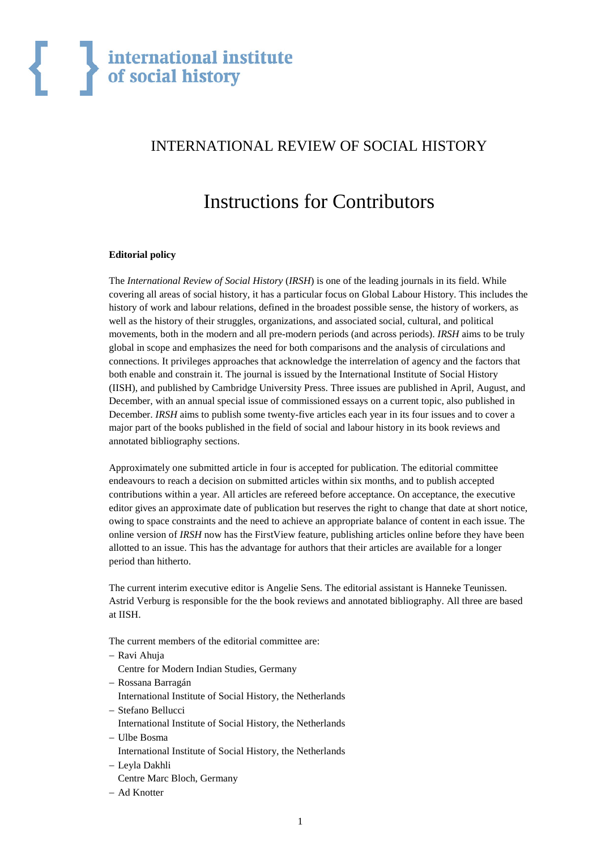# INTERNATIONAL REVIEW OF SOCIAL HISTORY

# Instructions for Contributors

## **Editorial policy**

The *International Review of Social History* (*IRSH*) is one of the leading journals in its field. While covering all areas of social history, it has a particular focus on Global Labour History. This includes the history of work and labour relations, defined in the broadest possible sense, the history of workers, as well as the history of their struggles, organizations, and associated social, cultural, and political movements, both in the modern and all pre-modern periods (and across periods). *IRSH* aims to be truly global in scope and emphasizes the need for both comparisons and the analysis of circulations and connections. It privileges approaches that acknowledge the interrelation of agency and the factors that both enable and constrain it. The journal is issued by the International Institute of Social History (IISH), and published by Cambridge University Press. Three issues are published in April, August, and December, with an annual special issue of commissioned essays on a current topic, also published in December. *IRSH* aims to publish some twenty-five articles each year in its four issues and to cover a major part of the books published in the field of social and labour history in its book reviews and annotated bibliography sections.

Approximately one submitted article in four is accepted for publication. The editorial committee endeavours to reach a decision on submitted articles within six months, and to publish accepted contributions within a year. All articles are refereed before acceptance. On acceptance, the executive editor gives an approximate date of publication but reserves the right to change that date at short notice, owing to space constraints and the need to achieve an appropriate balance of content in each issue. The online version of *IRSH* now has the FirstView feature, publishing articles online before they have been allotted to an issue. This has the advantage for authors that their articles are available for a longer period than hitherto.

The current interim executive editor is Angelie Sens. The editorial assistant is Hanneke Teunissen. Astrid Verburg is responsible for the the book reviews and annotated bibliography. All three are based at IISH.

The current members of the editorial committee are:

- − Ravi Ahuja
	- Centre for Modern Indian Studies, Germany
- − Rossana Barragán
- International Institute of Social History, the Netherlands
- − Stefano Bellucci
- International Institute of Social History, the Netherlands
- − Ulbe Bosma
	- International Institute of Social History, the Netherlands
- − Leyla Dakhli
- Centre Marc Bloch, Germany
- − Ad Knotter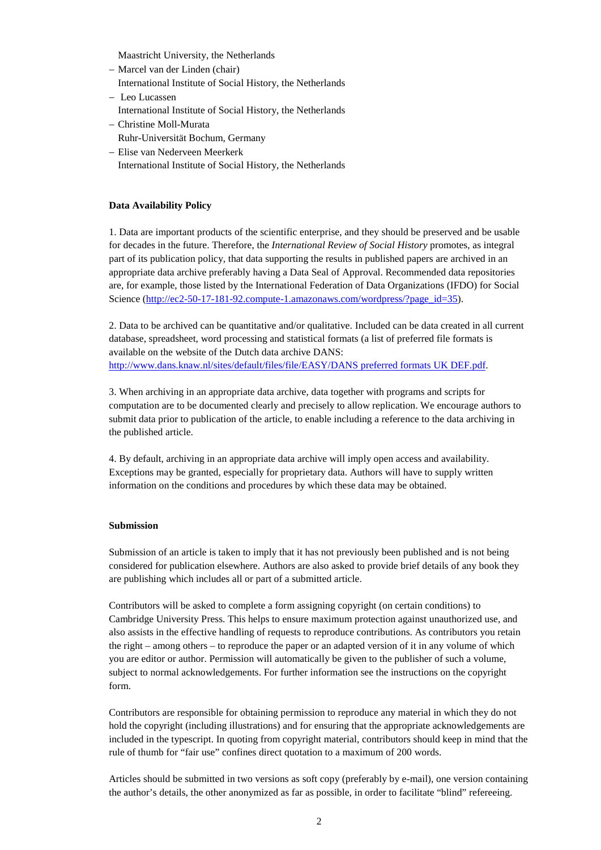Maastricht University, the Netherlands

- − Marcel van der Linden (chair) International Institute of Social History, the Netherlands
- − Leo Lucassen International Institute of Social History, the Netherlands
- − Christine Moll-Murata
- Ruhr-Universität Bochum, Germany
- − Elise van Nederveen Meerkerk International Institute of Social History, the Netherlands

# **Data Availability Policy**

1. Data are important products of the scientific enterprise, and they should be preserved and be usable for decades in the future. Therefore, the *International Review of Social History* promotes, as integral part of its publication policy, that data supporting the results in published papers are archived in an appropriate data archive preferably having a Data Seal of Approval. Recommended data repositories are, for example, those listed by the International Federation of Data Organizations (IFDO) for Social Science [\(http://ec2-50-17-181-92.compute-1.amazonaws.com/wordpress/?page\\_id=35\)](http://ec2-50-17-181-92.compute-1.amazonaws.com/wordpress/?page_id=35).

2. Data to be archived can be quantitative and/or qualitative. Included can be data created in all current database, spreadsheet, word processing and statistical formats (a list of preferred file formats is available on the website of the Dutch data archive DANS: [http://www.dans.knaw.nl/sites/default/files/file/EASY/DANS preferred formats UK DEF.pdf.](http://www.dans.knaw.nl/sites/default/files/file/EASY/DANS%20preferred%20formats%20UK%20DEF.pdf)

3. When archiving in an appropriate data archive, data together with programs and scripts for computation are to be documented clearly and precisely to allow replication. We encourage authors to submit data prior to publication of the article, to enable including a reference to the data archiving in the published article.

4. By default, archiving in an appropriate data archive will imply open access and availability. Exceptions may be granted, especially for proprietary data. Authors will have to supply written information on the conditions and procedures by which these data may be obtained.

### **Submission**

Submission of an article is taken to imply that it has not previously been published and is not being considered for publication elsewhere. Authors are also asked to provide brief details of any book they are publishing which includes all or part of a submitted article.

Contributors will be asked to complete a form assigning copyright (on certain conditions) to Cambridge University Press. This helps to ensure maximum protection against unauthorized use, and also assists in the effective handling of requests to reproduce contributions. As contributors you retain the right – among others – to reproduce the paper or an adapted version of it in any volume of which you are editor or author. Permission will automatically be given to the publisher of such a volume, subject to normal acknowledgements. For further information see the instructions on the copyright form.

Contributors are responsible for obtaining permission to reproduce any material in which they do not hold the copyright (including illustrations) and for ensuring that the appropriate acknowledgements are included in the typescript. In quoting from copyright material, contributors should keep in mind that the rule of thumb for "fair use" confines direct quotation to a maximum of 200 words.

Articles should be submitted in two versions as soft copy (preferably by e-mail), one version containing the author's details, the other anonymized as far as possible, in order to facilitate "blind" refereeing.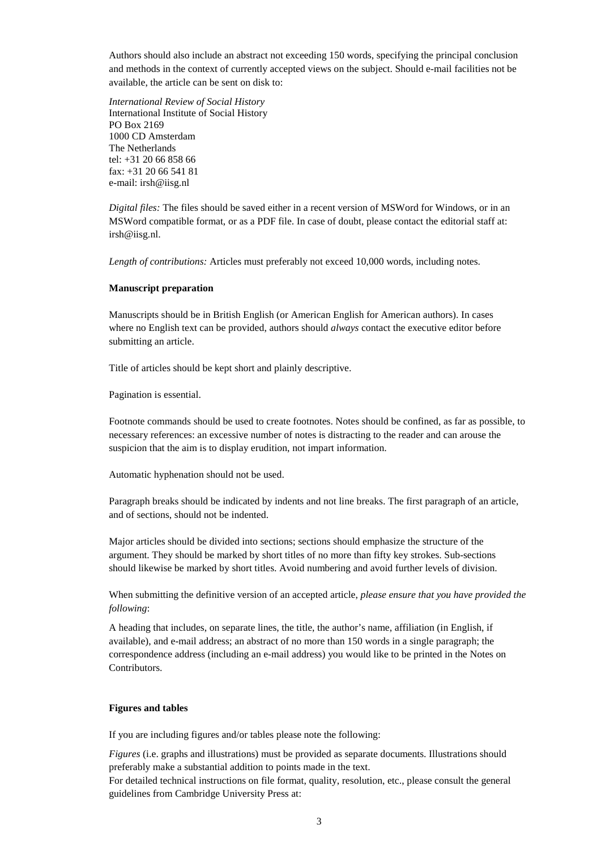Authors should also include an abstract not exceeding 150 words, specifying the principal conclusion and methods in the context of currently accepted views on the subject. Should e-mail facilities not be available, the article can be sent on disk to:

*International Review of Social History*  International Institute of Social History PO Box 2169 1000 CD Amsterdam The Netherlands tel: +31 20 66 858 66 fax: +31 20 66 541 81 e-mail: irsh@iisg.nl

*Digital files:* The files should be saved either in a recent version of MSWord for Windows, or in an MSWord compatible format, or as a PDF file. In case of doubt, please contact the editorial staff at: irsh@iisg.nl.

*Length of contributions:* Articles must preferably not exceed 10,000 words, including notes.

#### **Manuscript preparation**

Manuscripts should be in British English (or American English for American authors). In cases where no English text can be provided, authors should *always* contact the executive editor before submitting an article.

Title of articles should be kept short and plainly descriptive.

Pagination is essential.

Footnote commands should be used to create footnotes. Notes should be confined, as far as possible, to necessary references: an excessive number of notes is distracting to the reader and can arouse the suspicion that the aim is to display erudition, not impart information.

Automatic hyphenation should not be used.

Paragraph breaks should be indicated by indents and not line breaks. The first paragraph of an article, and of sections, should not be indented.

Major articles should be divided into sections; sections should emphasize the structure of the argument. They should be marked by short titles of no more than fifty key strokes. Sub-sections should likewise be marked by short titles. Avoid numbering and avoid further levels of division.

When submitting the definitive version of an accepted article, *please ensure that you have provided the following*:

A heading that includes, on separate lines, the title, the author's name, affiliation (in English, if available), and e-mail address; an abstract of no more than 150 words in a single paragraph; the correspondence address (including an e-mail address) you would like to be printed in the Notes on Contributors.

#### **Figures and tables**

If you are including figures and/or tables please note the following:

*Figures* (i.e. graphs and illustrations) must be provided as separate documents. Illustrations should preferably make a substantial addition to points made in the text.

For detailed technical instructions on file format, quality, resolution, etc., please consult the general guidelines from Cambridge University Press at: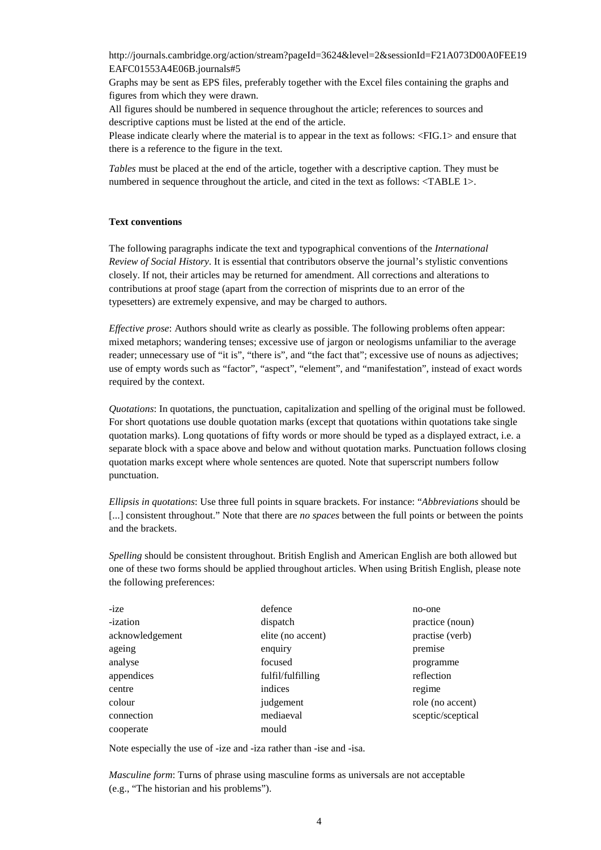[http://journals.cambridge.org/action/stream?pageId=3624&level=2&sessionId=F21A073D00A0FEE19](http://journals.cambridge.org/action/stream?pageId=3624&level=2&sessionId=F21A073D00A0FEE19EAFC01553A4E06B.journals#5) [EAFC01553A4E06B.journals#5](http://journals.cambridge.org/action/stream?pageId=3624&level=2&sessionId=F21A073D00A0FEE19EAFC01553A4E06B.journals#5)

Graphs may be sent as EPS files, preferably together with the Excel files containing the graphs and figures from which they were drawn.

All figures should be numbered in sequence throughout the article; references to sources and descriptive captions must be listed at the end of the article.

Please indicate clearly where the material is to appear in the text as follows: <FIG.1> and ensure that there is a reference to the figure in the text.

*Tables* must be placed at the end of the article, together with a descriptive caption. They must be numbered in sequence throughout the article, and cited in the text as follows: <TABLE 1>.

#### **Text conventions**

The following paragraphs indicate the text and typographical conventions of the *International Review of Social History*. It is essential that contributors observe the journal's stylistic conventions closely. If not, their articles may be returned for amendment. All corrections and alterations to contributions at proof stage (apart from the correction of misprints due to an error of the typesetters) are extremely expensive, and may be charged to authors.

*Effective prose*: Authors should write as clearly as possible. The following problems often appear: mixed metaphors; wandering tenses; excessive use of jargon or neologisms unfamiliar to the average reader; unnecessary use of "it is", "there is", and "the fact that"; excessive use of nouns as adjectives; use of empty words such as "factor", "aspect", "element", and "manifestation", instead of exact words required by the context.

*Quotations*: In quotations, the punctuation, capitalization and spelling of the original must be followed. For short quotations use double quotation marks (except that quotations within quotations take single quotation marks). Long quotations of fifty words or more should be typed as a displayed extract, i.e. a separate block with a space above and below and without quotation marks. Punctuation follows closing quotation marks except where whole sentences are quoted. Note that superscript numbers follow punctuation.

*Ellipsis in quotations*: Use three full points in square brackets. For instance: "*Abbreviations* should be [...] consistent throughout." Note that there are *no spaces* between the full points or between the points and the brackets.

*Spelling* should be consistent throughout. British English and American English are both allowed but one of these two forms should be applied throughout articles. When using British English, please note the following preferences:

| -ize            | defence           | no-one            |
|-----------------|-------------------|-------------------|
| -ization        | dispatch          | practice (noun)   |
| acknowledgement | elite (no accent) | practise (verb)   |
| ageing          | enquiry           | premise           |
| analyse         | focused           | programme         |
| appendices      | fulfil/fulfilling | reflection        |
| centre          | indices           | regime            |
| colour          | judgement         | role (no accent)  |
| connection      | mediaeval         | sceptic/sceptical |
| cooperate       | mould             |                   |

Note especially the use of -ize and -iza rather than -ise and -isa.

*Masculine form*: Turns of phrase using masculine forms as universals are not acceptable (e.g., "The historian and his problems").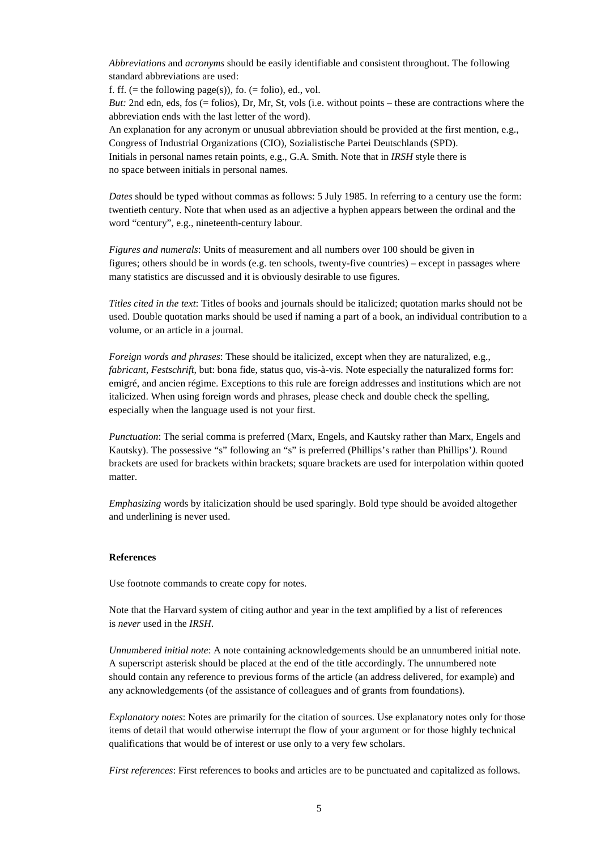*Abbreviations* and *acronyms* should be easily identifiable and consistent throughout. The following standard abbreviations are used:

f. ff. (= the following page(s)), fo. (= folio), ed., vol.

*But:* 2nd edn, eds, fos (= folios), Dr, Mr, St, vols (i.e. without points – these are contractions where the abbreviation ends with the last letter of the word).

An explanation for any acronym or unusual abbreviation should be provided at the first mention, e.g., Congress of Industrial Organizations (CIO), Sozialistische Partei Deutschlands (SPD). Initials in personal names retain points, e.g., G.A. Smith. Note that in *IRSH* style there is no space between initials in personal names.

*Dates* should be typed without commas as follows: 5 July 1985. In referring to a century use the form: twentieth century. Note that when used as an adjective a hyphen appears between the ordinal and the word "century", e.g., nineteenth-century labour.

*Figures and numerals*: Units of measurement and all numbers over 100 should be given in figures; others should be in words (e.g. ten schools, twenty-five countries) – except in passages where many statistics are discussed and it is obviously desirable to use figures.

*Titles cited in the text*: Titles of books and journals should be italicized; quotation marks should not be used. Double quotation marks should be used if naming a part of a book, an individual contribution to a volume, or an article in a journal.

*Foreign words and phrases*: These should be italicized, except when they are naturalized, e.g., *fabricant*, *Festschrift*, but: bona fide, status quo, vis-à-vis. Note especially the naturalized forms for: emigré, and ancien régime. Exceptions to this rule are foreign addresses and institutions which are not italicized. When using foreign words and phrases, please check and double check the spelling, especially when the language used is not your first.

*Punctuation*: The serial comma is preferred (Marx, Engels, and Kautsky rather than Marx, Engels and Kautsky). The possessive "s" following an "s" is preferred (Phillips's rather than Phillips'*).* Round brackets are used for brackets within brackets; square brackets are used for interpolation within quoted matter.

*Emphasizing* words by italicization should be used sparingly. Bold type should be avoided altogether and underlining is never used.

#### **References**

Use footnote commands to create copy for notes.

Note that the Harvard system of citing author and year in the text amplified by a list of references is *never* used in the *IRSH*.

*Unnumbered initial note*: A note containing acknowledgements should be an unnumbered initial note. A superscript asterisk should be placed at the end of the title accordingly. The unnumbered note should contain any reference to previous forms of the article (an address delivered, for example) and any acknowledgements (of the assistance of colleagues and of grants from foundations).

*Explanatory notes*: Notes are primarily for the citation of sources. Use explanatory notes only for those items of detail that would otherwise interrupt the flow of your argument or for those highly technical qualifications that would be of interest or use only to a very few scholars.

*First references*: First references to books and articles are to be punctuated and capitalized as follows.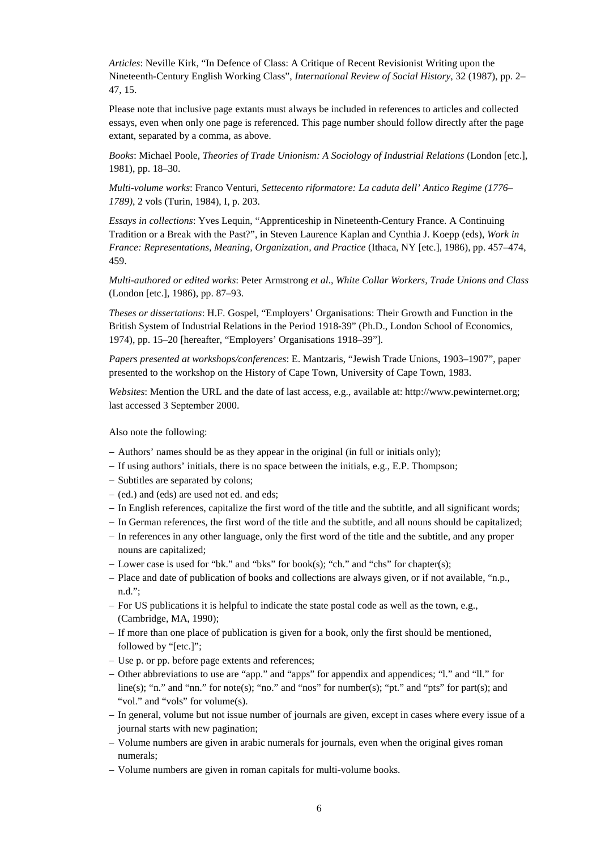*Articles*: Neville Kirk, "In Defence of Class: A Critique of Recent Revisionist Writing upon the Nineteenth-Century English Working Class", *International Review of Social History*, 32 (1987), pp. 2– 47, 15.

Please note that inclusive page extants must always be included in references to articles and collected essays, even when only one page is referenced. This page number should follow directly after the page extant, separated by a comma, as above.

*Books*: Michael Poole, *Theories of Trade Unionism: A Sociology of Industrial Relations* (London [etc.], 1981), pp. 18–30.

*Multi-volume works*: Franco Venturi, *Settecento riformatore: La caduta dell' Antico Regime (1776– 1789)*, 2 vols (Turin, 1984), I, p. 203.

*Essays in collections*: Yves Lequin, "Apprenticeship in Nineteenth-Century France. A Continuing Tradition or a Break with the Past?", in Steven Laurence Kaplan and Cynthia J. Koepp (eds), *Work in France: Representations, Meaning, Organization, and Practice* (Ithaca, NY [etc.], 1986), pp. 457–474, 459.

*Multi-authored or edited works*: Peter Armstrong *et al*., *White Collar Workers, Trade Unions and Class* (London [etc.], 1986), pp. 87–93.

*Theses or dissertations*: H.F. Gospel, "Employers' Organisations: Their Growth and Function in the British System of Industrial Relations in the Period 1918-39" (Ph.D., London School of Economics, 1974), pp. 15–20 [hereafter, "Employers' Organisations 1918–39"].

*Papers presented at workshops/conferences*: E. Mantzaris, "Jewish Trade Unions, 1903–1907", paper presented to the workshop on the History of Cape Town, University of Cape Town, 1983.

*Websites*: Mention the URL and the date of last access, e.g., available at: [http://www.pewinternet.org;](http://www.pewinternet.org/) last accessed 3 September 2000.

Also note the following:

- − Authors' names should be as they appear in the original (in full or initials only);
- − If using authors' initials, there is no space between the initials, e.g., E.P. Thompson;
- − Subtitles are separated by colons;
- − (ed.) and (eds) are used not ed. and eds;
- − In English references, capitalize the first word of the title and the subtitle, and all significant words;
- − In German references, the first word of the title and the subtitle, and all nouns should be capitalized;
- − In references in any other language, only the first word of the title and the subtitle, and any proper nouns are capitalized;
- − Lower case is used for "bk." and "bks" for book(s); "ch." and "chs" for chapter(s);
- − Place and date of publication of books and collections are always given, or if not available, "n.p., n.d.";
- − For US publications it is helpful to indicate the state postal code as well as the town, e.g., (Cambridge, MA, 1990);
- − If more than one place of publication is given for a book, only the first should be mentioned, followed by "[etc.]";
- − Use p. or pp. before page extents and references;
- − Other abbreviations to use are "app." and "apps" for appendix and appendices; "l." and "ll." for line(s); "n." and "nn." for note(s); "no." and "nos" for number(s); "pt." and "pts" for part(s); and "vol." and "vols" for volume(s).
- − In general, volume but not issue number of journals are given, except in cases where every issue of a journal starts with new pagination;
- − Volume numbers are given in arabic numerals for journals, even when the original gives roman numerals;
- − Volume numbers are given in roman capitals for multi-volume books.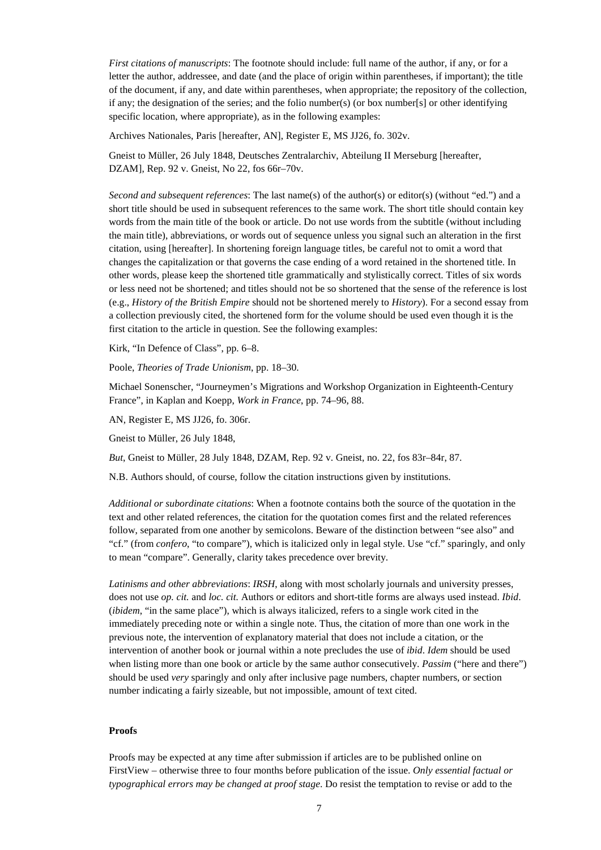*First citations of manuscripts*: The footnote should include: full name of the author, if any, or for a letter the author, addressee, and date (and the place of origin within parentheses, if important); the title of the document, if any, and date within parentheses, when appropriate; the repository of the collection, if any; the designation of the series; and the folio number(s) (or box number[s] or other identifying specific location, where appropriate), as in the following examples:

Archives Nationales, Paris [hereafter, AN], Register E, MS JJ26, fo. 302v.

Gneist to Müller, 26 July 1848, Deutsches Zentralarchiv, Abteilung II Merseburg [hereafter, DZAM], Rep. 92 v. Gneist, No 22, fos 66r–70v.

*Second and subsequent references*: The last name(s) of the author(s) or editor(s) (without "ed.") and a short title should be used in subsequent references to the same work. The short title should contain key words from the main title of the book or article. Do not use words from the subtitle (without including the main title), abbreviations, or words out of sequence unless you signal such an alteration in the first citation, using [hereafter]. In shortening foreign language titles, be careful not to omit a word that changes the capitalization or that governs the case ending of a word retained in the shortened title. In other words, please keep the shortened title grammatically and stylistically correct. Titles of six words or less need not be shortened; and titles should not be so shortened that the sense of the reference is lost (e.g., *History of the British Empire* should not be shortened merely to *History*). For a second essay from a collection previously cited, the shortened form for the volume should be used even though it is the first citation to the article in question. See the following examples:

Kirk, "In Defence of Class", pp. 6–8.

Poole, *Theories of Trade Unionism*, pp. 18–30.

Michael Sonenscher, "Journeymen's Migrations and Workshop Organization in Eighteenth-Century France", in Kaplan and Koepp, *Work in France*, pp. 74–96, 88.

AN, Register E, MS JJ26, fo. 306r.

Gneist to Müller, 26 July 1848,

*But*, Gneist to Müller, 28 July 1848, DZAM, Rep. 92 v. Gneist, no. 22, fos 83r–84r, 87.

N.B. Authors should, of course, follow the citation instructions given by institutions.

*Additional or subordinate citations*: When a footnote contains both the source of the quotation in the text and other related references, the citation for the quotation comes first and the related references follow, separated from one another by semicolons. Beware of the distinction between "see also" and "cf." (from *confero*, "to compare"), which is italicized only in legal style. Use "cf." sparingly, and only to mean "compare". Generally, clarity takes precedence over brevity.

*Latinisms and other abbreviations*: *IRSH*, along with most scholarly journals and university presses, does not use *op. cit.* and *loc. cit.* Authors or editors and short-title forms are always used instead. *Ibid*. (*ibidem*, "in the same place"), which is always italicized, refers to a single work cited in the immediately preceding note or within a single note. Thus, the citation of more than one work in the previous note, the intervention of explanatory material that does not include a citation, or the intervention of another book or journal within a note precludes the use of *ibid*. *Idem* should be used when listing more than one book or article by the same author consecutively. *Passim* ("here and there") should be used *very* sparingly and only after inclusive page numbers, chapter numbers, or section number indicating a fairly sizeable, but not impossible, amount of text cited.

#### **Proofs**

Proofs may be expected at any time after submission if articles are to be published online on FirstView – otherwise three to four months before publication of the issue. *Only essential factual or typographical errors may be changed at proof stage*. Do resist the temptation to revise or add to the